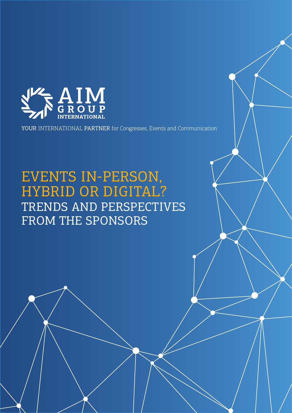

YOUR INTERNATIONAL PARTNER for Congresses, Events and Communication

## EVENTS IN-PERSON, HYBRID OR DIGITAL? TRENDS AND PERSPECTIVES FROM THE SPONSORS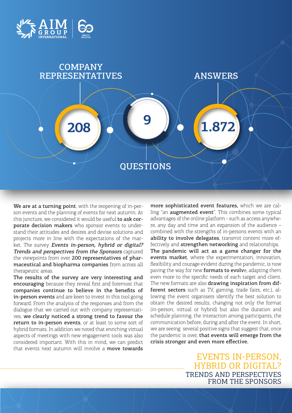



We are at a turning point, with the reopening of in-person events and the planning of events for next autumn. At this juncture, we considered it would be useful to ask corporate decision makers who sponsor events to understand their attitudes and desires and devise solutions and projects more in line with the expectations of the market. The survey Events in-person, hybrid or digital? Trends and perspectives from the Sponsors captured the viewpoints from over 200 representatives of pharmaceutical and biopharma companies from across all therapeutic areas.

 $\overline{1}$  forward. From the analysis of the responses and from the The results of the survey are very interesting and encouraging because they reveal first and foremost that companies continue to believe in the benefits of in-person events and are keen to invest in this tool going dialogue that we carried out with company representatives, we clearly noticed a strong trend to favour the return to in-person events, or at least to some sort of hybrid formats. In addition we noted that enriching virtual aspects of meetings with new engagement tools was also considered important. With this in mind, we can predict that events next autumn will involve a **move towards** 

more sophisticated event features, which we are calling "an **augmented event**". This combines some typical advantages of the online platform - such as access anywhere, any day and time and an expansion of the audience – combined with the strengths of in-persons events with an ability to involve delegates, transmit content more effectively and **strengthen networking** and relationships. The pandemic will act as a game changer for the events market, where the experimentation, innovation, flexibility and courage evident during the pandemic, is now paving the way for new formats to evolve, adapting them even more to the specific needs of each target and client. The new formats are also drawing inspiration from different sectors such as TV, gaming, trade fairs, etc.), allowing the event organisers identify the best solution to obtain the desired results, changing not only the format (in-person, virtual or hybrid) but also the duration and schedule planning, the interaction among participants, the communication before, during and after the event. In short, we are seeing several positive signs that suggest that, once the pandemic is over, that events will emerge from the crisis stronger and even more effective.

> EVENTS IN-PERSON, HYBRID OR DIGITAL? TRENDS AND PERSPECTIVES FROM THE SPONSORS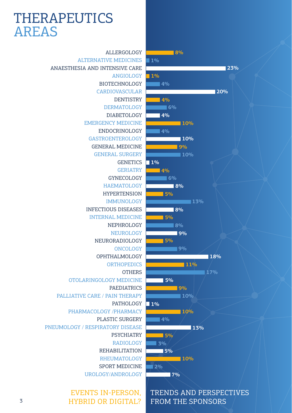## THERAPEUTICS AREAS

ALLERGOLOGY ALTERNATIVE MEDICINES ANAESTHESIA AND INTENSIVE CARE ANGIOLOGY BIOTECHNOLOGY CARDIOVASCULAR **DENTISTRY** DERMATOLOGY DIABETOLOGY EMERGENCY MEDICINE ENDOCRINOLOGY GASTROENTEROLOGY GENERAL MEDICINE GENERAL SURGERY **GENETICS** GERIATRY GYNECOLOGY HAEMATOLOGY HYPERTENSION IMMUNOLOGY INFECTIOUS DISEASES INTERNAL MEDICINE NEPHROLOGY NEUROLOGY NEURORADIOLOGY ONCOLOGY OPHTHALMOLOGY **ORTHOPEDICS OTHERS** OTOLARINGOLOGY MEDICINE PAEDIATRICS PALLIATIVE CARE / PAIN THERAPY PATHOLOGY PHARMACOLOGY /PHARMACY PLASTIC SURGERY PNEUMOLOGY / RESPIRATORY DISEASE PSYCHIATRY RADIOLOGY REHABILITATION RHEUMATOLOGY SPORT MEDICINE UROLOGY/ANDROLOGY

> EVENTS IN-PERSON, HYBRID OR DIGITAL?

## **8% 4% 4% 4% 10% 4% 13% 2% 23% 20% 10% 8% 10% 6% 8% 9% 1% 10% 6% 4% 1% 5% 10% 5% 1% 8% 4% 11% 9% 3% 7% 9% 18% 5% 13% 10% 17% 5% 9% 1% 5% 5%**

TRENDS AND PERSPECTIVES

FROM THE SPONSORS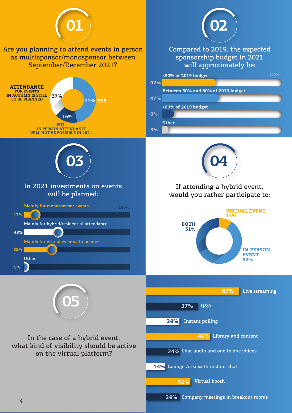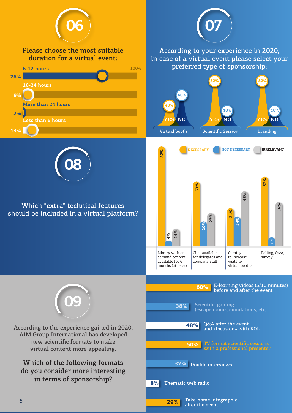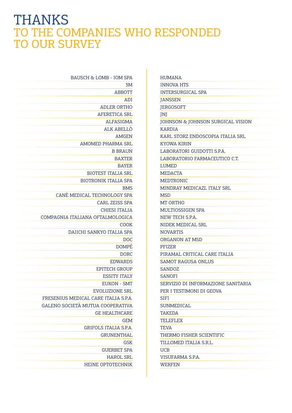## **THANKS** TO THE COMPANIES WHO RESPONDED TO OUR SURVEY

| BAUSCH & LOMB - IOM SPA              |
|--------------------------------------|
| 3M                                   |
| <b>ABBOTT</b>                        |
| ADI                                  |
| <b>ADLER ORTHO</b>                   |
| <b>AFERETICA SRL</b>                 |
| ALFASIGMA                            |
| ALK ABELLO                           |
| <b>AMGEN</b>                         |
| AMOMED PHARMA SRL                    |
| <b>B BRAUN</b>                       |
| <b>BAXTER</b>                        |
| <b>BAYER</b>                         |
| <b>BIOTEST ITALIA SRL</b>            |
| <b>BIOTRONIK ITALIA SPA</b>          |
| <b>BMS</b>                           |
| CANÈ MEDICAL TECHNOLOGY SPA          |
| <b>CARL ZEISS SPA</b>                |
| <b>CHIESI ITALIA</b>                 |
| COMPAGNIA ITALIANA OFTALMOLOGICA     |
| COOK                                 |
| DAIICHI SANKYO ITALIA SPA            |
| <b>DOC</b>                           |
| <b>DOMPÉ</b>                         |
| <b>DORC</b>                          |
| <b>EDWARDS</b>                       |
| <b>EPITECH GROUP</b>                 |
| <b>ESSITY ITALY</b>                  |
| <b>EUKON - SMT</b>                   |
| <b>EVOLUZIONE SRL</b>                |
| FRESENIUS MEDICAL CARE ITALIA S.P.A. |
| GALENO SOCIETÀ MUTUA COOPERATIVA     |
| <b>GE HEALTHCARE</b>                 |
| <b>GEM</b>                           |
| <b>GRIFOLS ITALIA S.P.A.</b>         |
| <b>GRUNENTHAL</b>                    |
| <b>GSK</b>                           |
| <b>GUERBET SPA</b>                   |
| <b>HAROL SRL</b>                     |
| <b>HEINE OPTOTECHNIK</b>             |

| <b>HUMANA</b>                      |
|------------------------------------|
| <b>INNOVA HTS</b>                  |
| <b>INTERSURGICAL SPA</b>           |
| <b>JANSSEN</b>                     |
| <b>JERGOSOFT</b>                   |
| JNJ                                |
| JOHNSON & JOHNSON SURGICAL VISION  |
| <b>KARDIA</b>                      |
| KARL STORZ ENDOSCOPIA ITALIA SRL   |
| <b>KYOWA KIRIN</b>                 |
| LABORATORI GUIDOTTI S.P.A.         |
| LABORATORIO FARMACEUTICO C.T.      |
| LUMED                              |
| <b>MEDACTA</b>                     |
| <b>MEDTRONIC</b>                   |
| MINDRAY MEDICAZL ITALY SRL         |
| MSD                                |
| MT ORTHO                           |
| <b>MULTIOSSIGEN SPA</b>            |
| NEW TECH S.P.A.                    |
| NIDEK MEDICAL SRL                  |
| <b>NOVARTIS</b>                    |
| ORGANON AT MSD                     |
| <b>PFIZER</b>                      |
| PIRAMAL CRITICAL CARE ITALIA       |
| <b>SAMOT RAGUSA ONLUS</b>          |
| <b>SANDOZ</b>                      |
| <b>SANOFI</b>                      |
| SERVIZIO DI INFORMAZIONE SANITARIA |
| PER I TESTIMONI DI GEOVA           |
| <b>SIFI</b>                        |
| <b>SUNMEDICAL</b>                  |
| <b>TAKEDA</b>                      |
| TELEFLEX                           |
| <b>TEVA</b>                        |
| THERMO FISHER SCIENTIFIC           |
| TILLOMED ITALIA S.R.L.             |
| <b>UCB</b>                         |
| VISUFARMA S.P.A.                   |
| <b>WERFEN</b>                      |
|                                    |